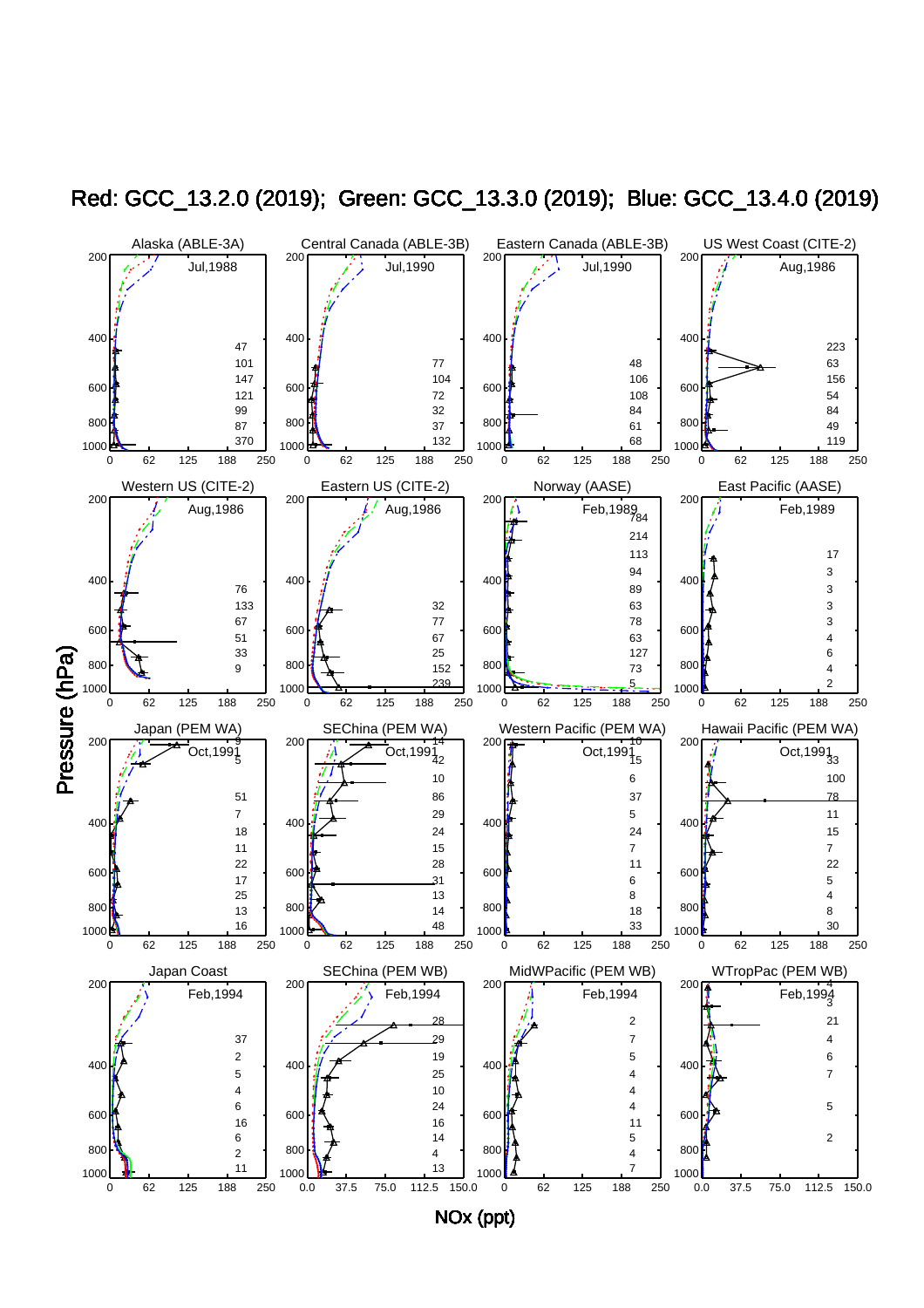

Red: GCC\_13.2.0 (2019); Green: GCC\_13.3.0 (2019); Blue: GCC\_13.4.0 (2019)

NOx (ppt)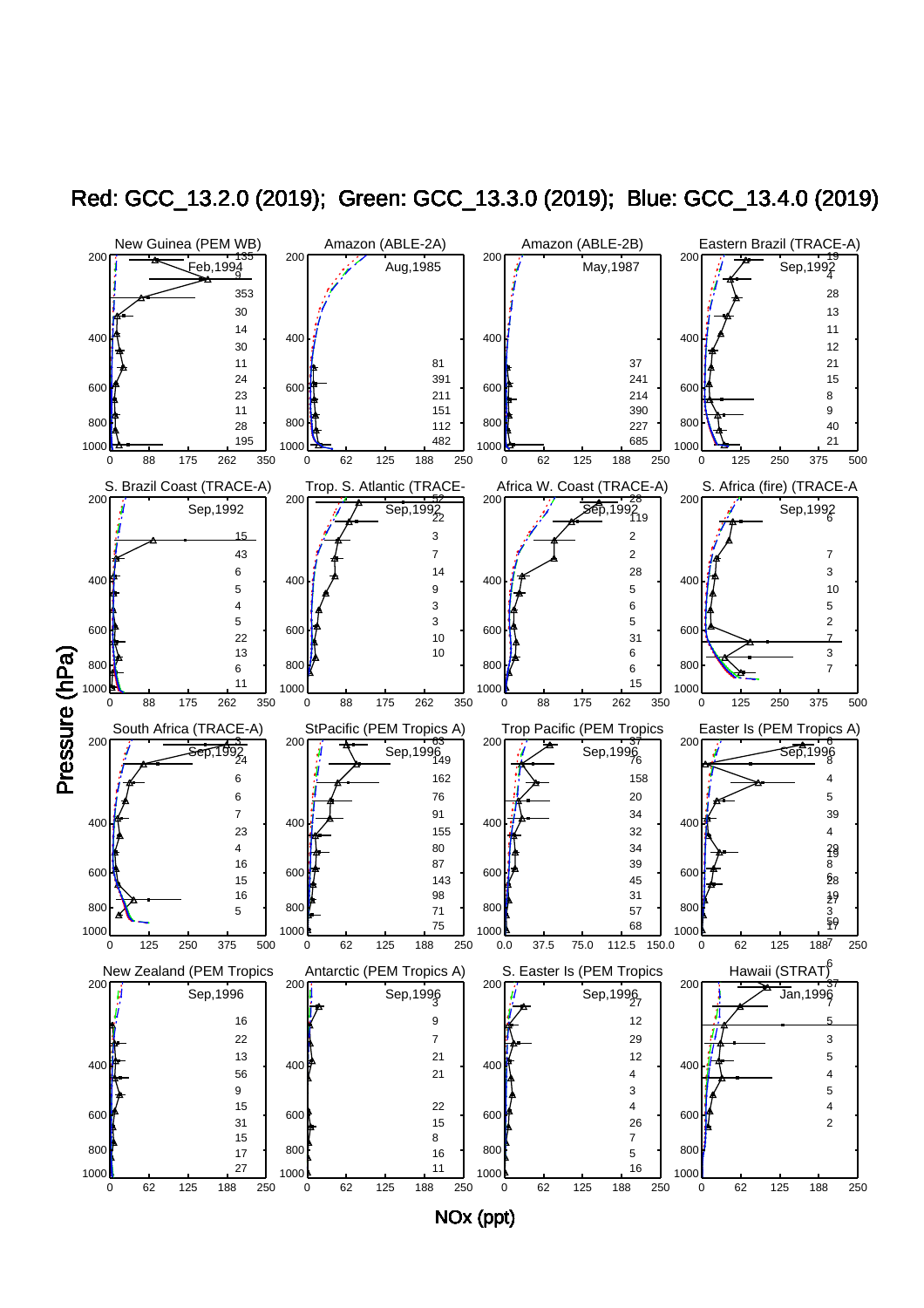

Red: GCC\_13.2.0 (2019); Green: GCC\_13.3.0 (2019); Blue: GCC\_13.4.0 (2019)

NOx (ppt)